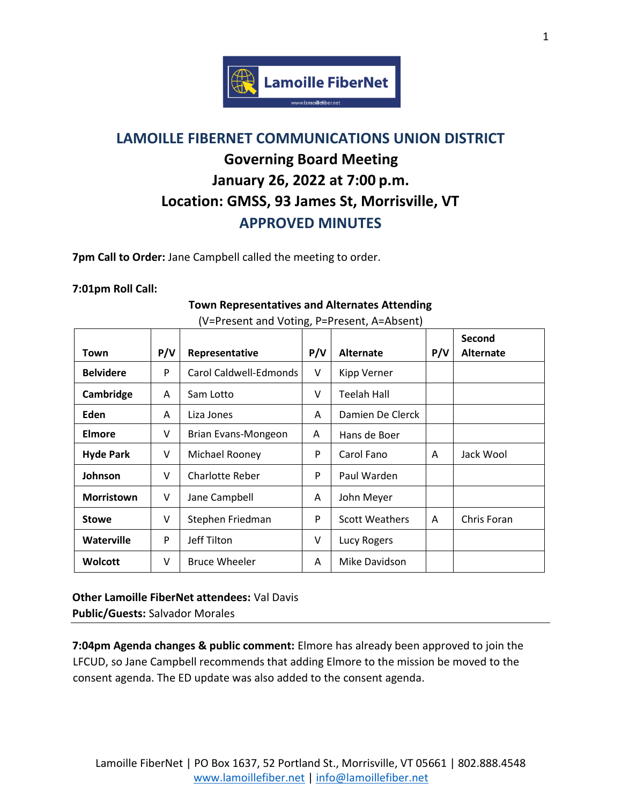

# **LAMOILLE FIBERNET COMMUNICATIONS UNION DISTRICT Governing Board Meeting January 26, 2022 at 7:00 p.m. Location: GMSS, 93 James St, Morrisville, VT APPROVED MINUTES**

**7pm Call to Order:** Jane Campbell called the meeting to order.

#### **7:01pm Roll Call:**

#### **Town Representatives and Alternates Attending**

|                   |     |                        |     |                       |     | Second           |
|-------------------|-----|------------------------|-----|-----------------------|-----|------------------|
| Town              | P/V | Representative         | P/V | <b>Alternate</b>      | P/V | <b>Alternate</b> |
| <b>Belvidere</b>  | P   | Carol Caldwell-Edmonds | V   | Kipp Verner           |     |                  |
| Cambridge         | A   | Sam Lotto              | v   | Teelah Hall           |     |                  |
| <b>Eden</b>       | A   | Liza Jones             | A   | Damien De Clerck      |     |                  |
| Elmore            | v   | Brian Evans-Mongeon    | A   | Hans de Boer          |     |                  |
| <b>Hyde Park</b>  | v   | Michael Rooney         | P   | Carol Fano            | A   | Jack Wool        |
| Johnson           | v   | Charlotte Reber        | P   | Paul Warden           |     |                  |
| <b>Morristown</b> | v   | Jane Campbell          | A   | John Meyer            |     |                  |
| <b>Stowe</b>      | v   | Stephen Friedman       | P   | <b>Scott Weathers</b> | A   | Chris Foran      |
| Waterville        | P   | Jeff Tilton            | V   | Lucy Rogers           |     |                  |
| <b>Wolcott</b>    | v   | <b>Bruce Wheeler</b>   | A   | Mike Davidson         |     |                  |

(V=Present and Voting, P=Present, A=Absent)

**Other Lamoille FiberNet attendees:** Val Davis **Public/Guests:** Salvador Morales

**7:04pm Agenda changes & public comment:** Elmore has already been approved to join the LFCUD, so Jane Campbell recommends that adding Elmore to the mission be moved to the consent agenda. The ED update was also added to the consent agenda.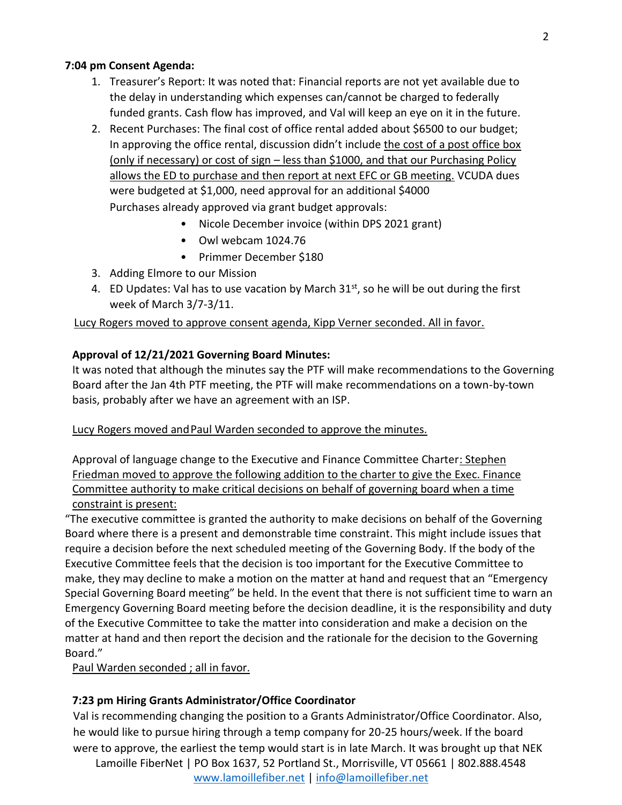### **7:04 pm Consent Agenda:**

- 1. Treasurer's Report: It was noted that: Financial reports are not yet available due to the delay in understanding which expenses can/cannot be charged to federally funded grants. Cash flow has improved, and Val will keep an eye on it in the future.
- 2. Recent Purchases: The final cost of office rental added about \$6500 to our budget; In approving the office rental, discussion didn't include the cost of a post office box (only if necessary) or cost of sign – less than \$1000, and that our Purchasing Policy allows the ED to purchase and then report at next EFC or GB meeting. VCUDA dues were budgeted at \$1,000, need approval for an additional \$4000 Purchases already approved via grant budget approvals:
	- Nicole December invoice (within DPS 2021 grant)
	- Owl webcam 1024.76
	- Primmer December \$180
- 3. Adding Elmore to our Mission
- 4. ED Updates: Val has to use vacation by March  $31<sup>st</sup>$ , so he will be out during the first week of March 3/7-3/11.

Lucy Rogers moved to approve consent agenda, Kipp Verner seconded. All in favor.

### **Approval of 12/21/2021 Governing Board Minutes:**

It was noted that although the minutes say the PTF will make recommendations to the Governing Board after the Jan 4th PTF meeting, the PTF will make recommendations on a town-by-town basis, probably after we have an agreement with an ISP.

#### Lucy Rogers moved and Paul Warden seconded to approve the minutes.

Approval of language change to the Executive and Finance Committee Charter: Stephen Friedman moved to approve the following addition to the charter to give the Exec. Finance Committee authority to make critical decisions on behalf of governing board when a time constraint is present:

"The executive committee is granted the authority to make decisions on behalf of the Governing Board where there is a present and demonstrable time constraint. This might include issues that require a decision before the next scheduled meeting of the Governing Body. If the body of the Executive Committee feels that the decision is too important for the Executive Committee to make, they may decline to make a motion on the matter at hand and request that an "Emergency Special Governing Board meeting" be held. In the event that there is not sufficient time to warn an Emergency Governing Board meeting before the decision deadline, it is the responsibility and duty of the Executive Committee to take the matter into consideration and make a decision on the matter at hand and then report the decision and the rationale for the decision to the Governing Board."

Paul Warden seconded ; all in favor.

## **7:23 pm Hiring Grants Administrator/Office Coordinator**

Val is recommending changing the position to a Grants Administrator/Office Coordinator. Also, he would like to pursue hiring through a temp company for 20-25 hours/week. If the board were to approve, the earliest the temp would start is in late March. It was brought up that NEK

Lamoille FiberNet | PO Box 1637, 52 Portland St., Morrisville, VT 05661 | 802.888.4548 [www.lamoillefiber.net](http://www.lamoillefiber.net/) | [info@lamoillefiber.net](mailto:info@lamoillefiber.net)